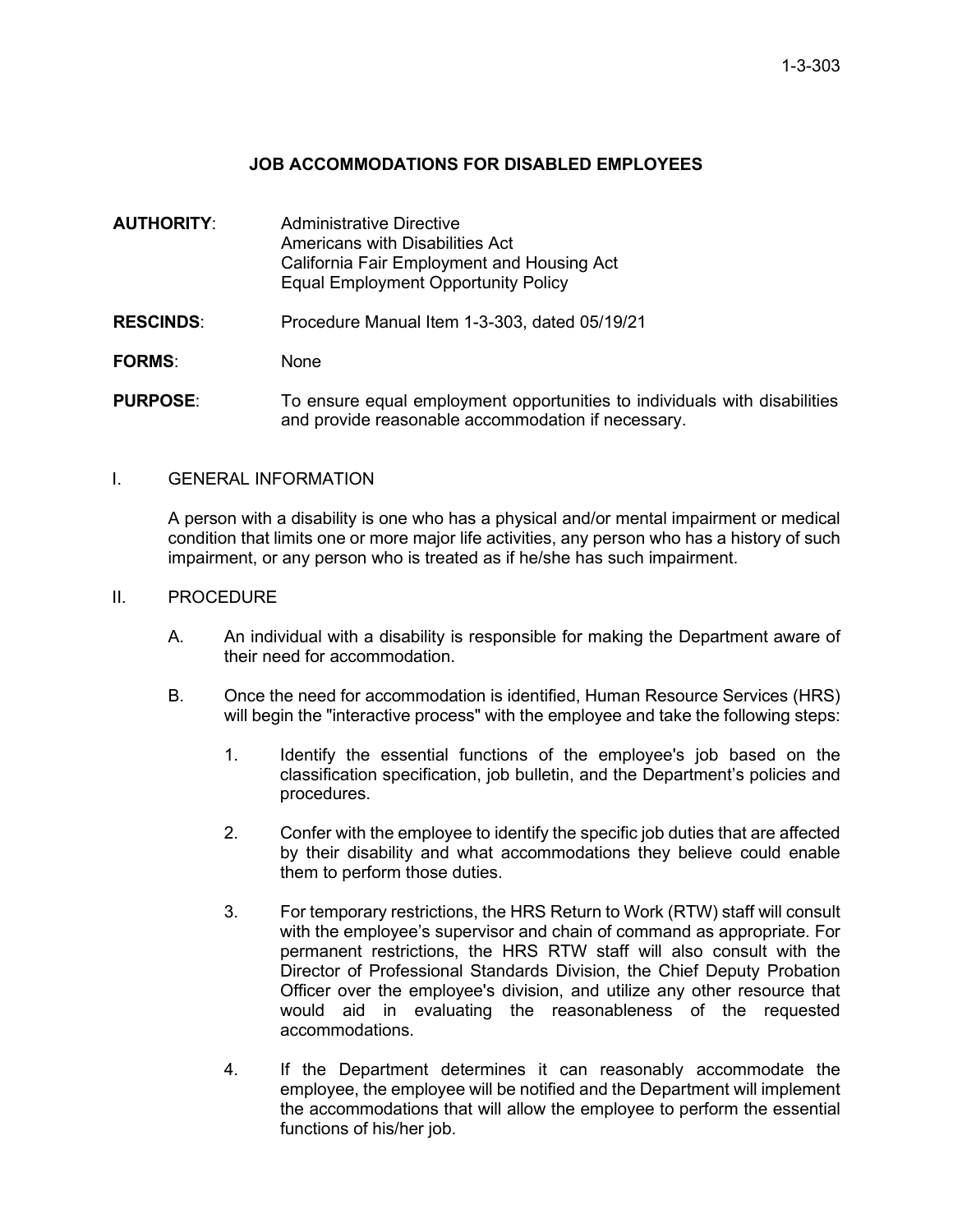## **JOB ACCOMMODATIONS FOR DISABLED EMPLOYEES**

| AUTHORITY:       | Administrative Directive<br>Americans with Disabilities Act<br>California Fair Employment and Housing Act<br><b>Equal Employment Opportunity Policy</b> |
|------------------|---------------------------------------------------------------------------------------------------------------------------------------------------------|
| <b>RESCINDS:</b> | Procedure Manual Item 1-3-303, dated 05/19/21                                                                                                           |
| <b>FORMS:</b>    | <b>None</b>                                                                                                                                             |
| <b>PURPOSE:</b>  | To ensure equal employment opportunities to individuals with disabilities<br>and provide reasonable accommodation if necessary.                         |

## I. GENERAL INFORMATION

A person with a disability is one who has a physical and/or mental impairment or medical condition that limits one or more major life activities, any person who has a history of such impairment, or any person who is treated as if he/she has such impairment.

## II. PROCEDURE

- A. An individual with a disability is responsible for making the Department aware of their need for accommodation.
- B. Once the need for accommodation is identified, Human Resource Services (HRS) will begin the "interactive process" with the employee and take the following steps:
	- 1. Identify the essential functions of the employee's job based on the classification specification, job bulletin, and the Department's policies and procedures.
	- 2. Confer with the employee to identify the specific job duties that are affected by their disability and what accommodations they believe could enable them to perform those duties.
	- 3. For temporary restrictions, the HRS Return to Work (RTW) staff will consult with the employee's supervisor and chain of command as appropriate. For permanent restrictions, the HRS RTW staff will also consult with the Director of Professional Standards Division, the Chief Deputy Probation Officer over the employee's division, and utilize any other resource that would aid in evaluating the reasonableness of the requested accommodations.
	- 4. If the Department determines it can reasonably accommodate the employee, the employee will be notified and the Department will implement the accommodations that will allow the employee to perform the essential functions of his/her job.